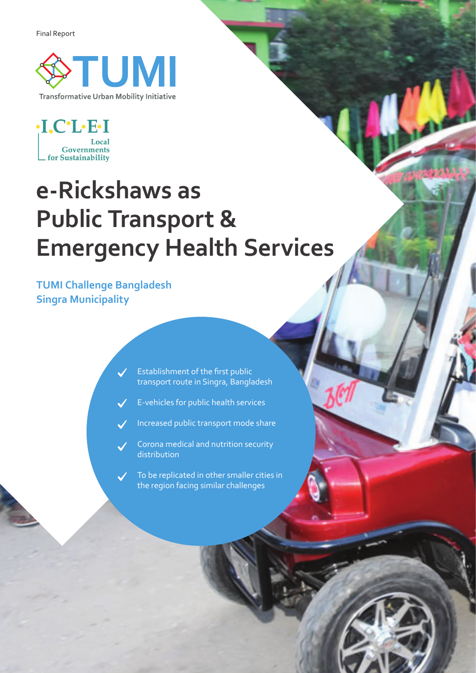Final Report





## **e-Rickshaws as Public Transport & Emergency Health Services**

**TUMI Challenge Bangladesh Singra Municipality**

 $\checkmark$ 

Establishment of the first public transport route in Singra, Bangladesh

E-vehicles for public health services

Increased public transport mode share

Corona medical and nutrition security distribution

To be replicated in other smaller cities in the region facing similar challenges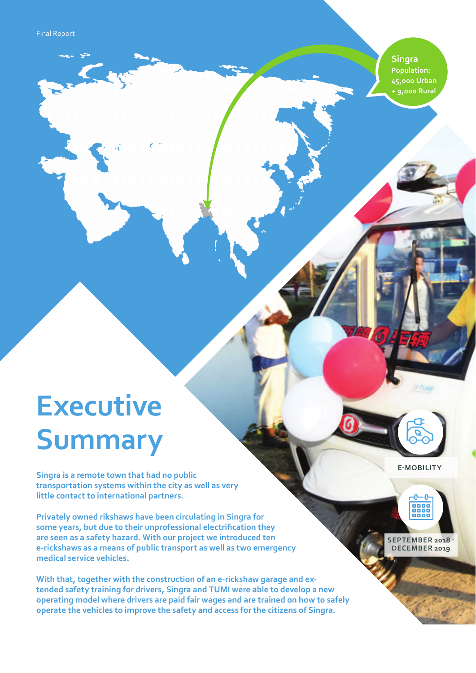**Singra Population: 45,000 Urban + 9,000 Rural** 

# **Executive Summary**

**Singra is a remote town that had no public transportation systems within the city as well as very little contact to international partners.** 

**Privately owned rikshaws have been circulating in Singra for some years, but due to their unprofessional electrification they are seen as a safety hazard. With our project we introduced ten e-rickshaws as a means of public transport as well as two emergency medical service vehicles.**

**With that, together with the construction of an e-rickshaw garage and extended safety training for drivers, Singra and TUMI were able to develop a new operating model where drivers are paid fair wages and are trained on how to safely operate the vehicles to improve the safety and access for the citizens of Singra.**

**E-MOBILITY**

**SEPTEMBER 2018 - DECEMBER 2019** 

888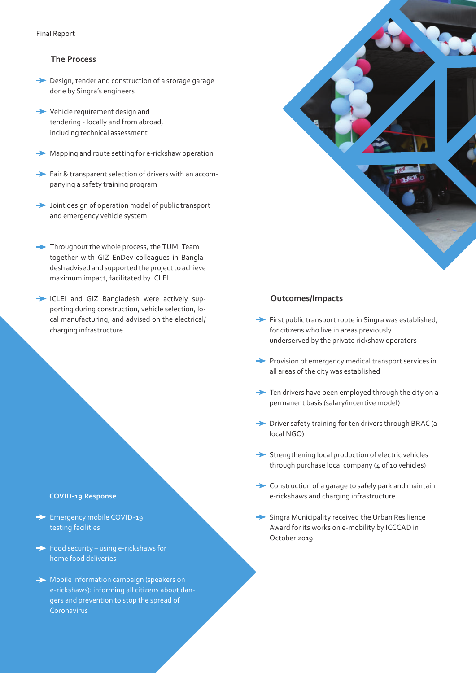#### **The Process**

- **→** Design, tender and construction of a storage garage done by Singra's engineers
- Vehicle requirement design and tendering - locally and from abroad, including technical assessment
- **Mapping and route setting for e-rickshaw operation**
- Fair & transparent selection of drivers with an accompanying a safety training program
- Joint design of operation model of public transport and emergency vehicle system
- Throughout the whole process, the TUMI Team together with GIZ EnDev colleagues in Bangladesh advised and supported the project to achieve maximum impact, facilitated by ICLEI.
- ICLEI and GIZ Bangladesh were actively supporting during construction, vehicle selection, local manufacturing, and advised on the electrical/ charging infrastructure.

#### **COVID-19 Response**

- Emergency mobile COVID-19 testing facilities
- $\rightarrow$  Food security using e-rickshaws for home food deliveries
- $\rightarrow$  Mobile information campaign (speakers on e-rickshaws): informing all citizens about dangers and prevention to stop the spread of Coronavirus



#### **Outcomes/Impacts**

- $\rightarrow$  First public transport route in Singra was established, for citizens who live in areas previously underserved by the private rickshaw operators
- $\rightarrow$  Provision of emergency medical transport services in all areas of the city was established
- $\rightarrow$  Ten drivers have been employed through the city on a permanent basis (salary/incentive model)
- Driver safety training for ten drivers through BRAC (a local NGO)
- $\rightarrow$  Strengthening local production of electric vehicles through purchase local company (4 of 10 vehicles)
- **►** Construction of a garage to safely park and maintain e-rickshaws and charging infrastructure
- Singra Municipality received the Urban Resilience Award for its works on e-mobility by ICCCAD in October 2019